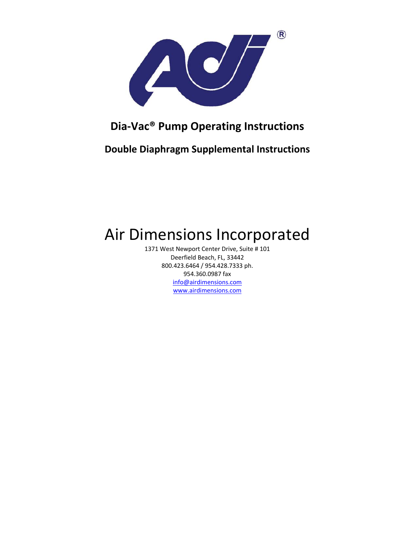

## **Dia‐Vac® Pump Operating Instructions**

**Double Diaphragm Supplemental Instructions**

# Air Dimensions Incorporated

1371 West Newport Center Drive, Suite # 101 Deerfield Beach, FL, 33442 800.423.6464 / 954.428.7333 ph. 954.360.0987 fax info@airdimensions.com www.airdimensions.com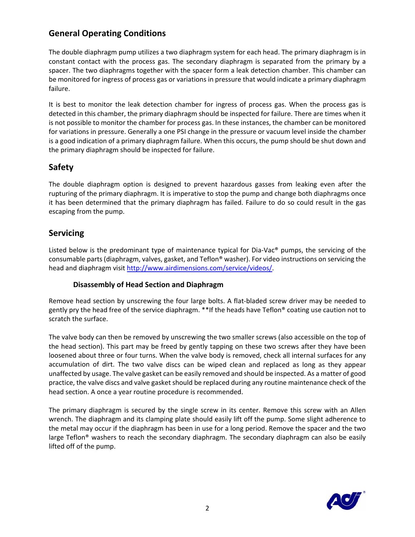### **General Operating Conditions**

The double diaphragm pump utilizes a two diaphragm system for each head. The primary diaphragm is in constant contact with the process gas. The secondary diaphragm is separated from the primary by a spacer. The two diaphragms together with the spacer form a leak detection chamber. This chamber can be monitored for ingress of process gas or variations in pressure that would indicate a primary diaphragm failure.

It is best to monitor the leak detection chamber for ingress of process gas. When the process gas is detected in this chamber, the primary diaphragm should be inspected for failure. There are times when it is not possible to monitor the chamber for process gas. In these instances, the chamber can be monitored for variations in pressure. Generally a one PSI change in the pressure or vacuum level inside the chamber is a good indication of a primary diaphragm failure. When this occurs, the pump should be shut down and the primary diaphragm should be inspected for failure.

#### **Safety**

The double diaphragm option is designed to prevent hazardous gasses from leaking even after the rupturing of the primary diaphragm. It is imperative to stop the pump and change both diaphragms once it has been determined that the primary diaphragm has failed. Failure to do so could result in the gas escaping from the pump.

#### **Servicing**

Listed below is the predominant type of maintenance typical for Dia-Vac<sup>®</sup> pumps, the servicing of the consumable parts(diaphragm, valves, gasket, and Teflon® washer). For video instructions on servicing the head and diaphragm visit http://www.airdimensions.com/service/videos/.

#### **Disassembly of Head Section and Diaphragm**

Remove head section by unscrewing the four large bolts. A flat-bladed screw driver may be needed to gently pry the head free of the service diaphragm. \*\*If the heads have Teflon® coating use caution not to scratch the surface.

The valve body can then be removed by unscrewing the two smaller screws (also accessible on the top of the head section). This part may be freed by gently tapping on these two screws after they have been loosened about three or four turns. When the valve body is removed, check all internal surfaces for any accumulation of dirt. The two valve discs can be wiped clean and replaced as long as they appear unaffected by usage. The valve gasket can be easily removed and should be inspected. As a matter of good practice, the valve discs and valve gasket should be replaced during any routine maintenance check of the head section. A once a year routine procedure is recommended.

The primary diaphragm is secured by the single screw in its center. Remove this screw with an Allen wrench. The diaphragm and its clamping plate should easily lift off the pump. Some slight adherence to the metal may occur if the diaphragm has been in use for a long period. Remove the spacer and the two large Teflon® washers to reach the secondary diaphragm. The secondary diaphragm can also be easily lifted off of the pump.